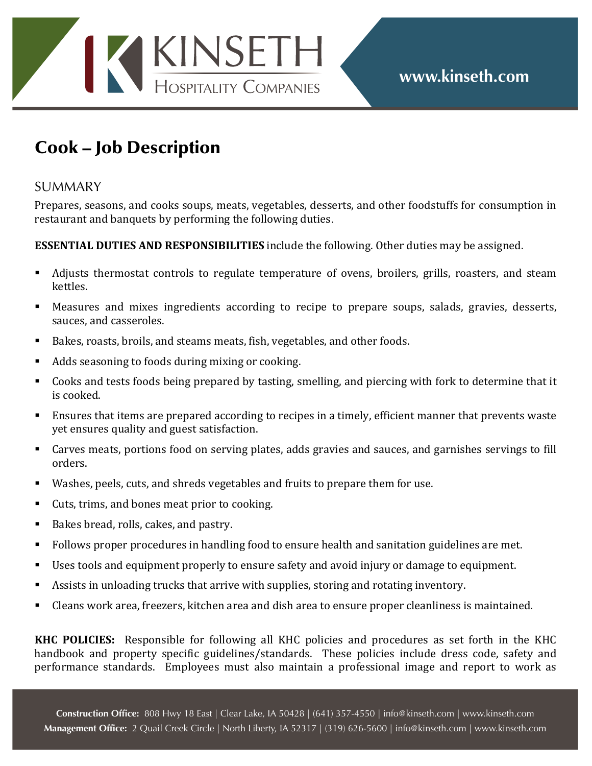

## Cook – Job Description

## **SUMMARY**

Prepares, seasons, and cooks soups, meats, vegetables, desserts, and other foodstuffs for consumption in restaurant and banquets by performing the following duties.

## **ESSENTIAL DUTIES AND RESPONSIBILITIES** include the following. Other duties may be assigned.

- Adjusts thermostat controls to regulate temperature of ovens, broilers, grills, roasters, and steam kettles.
- Measures and mixes ingredients according to recipe to prepare soups, salads, gravies, desserts, sauces, and casseroles.
- Bakes, roasts, broils, and steams meats, fish, vegetables, and other foods.
- Adds seasoning to foods during mixing or cooking.
- Cooks and tests foods being prepared by tasting, smelling, and piercing with fork to determine that it is cooked.
- Ensures that items are prepared according to recipes in a timely, efficient manner that prevents waste yet ensures quality and guest satisfaction.
- Carves meats, portions food on serving plates, adds gravies and sauces, and garnishes servings to fill orders.
- Washes, peels, cuts, and shreds vegetables and fruits to prepare them for use.
- Cuts, trims, and bones meat prior to cooking.
- Bakes bread, rolls, cakes, and pastry.
- Follows proper procedures in handling food to ensure health and sanitation guidelines are met.
- Uses tools and equipment properly to ensure safety and avoid injury or damage to equipment.
- Assists in unloading trucks that arrive with supplies, storing and rotating inventory.
- Cleans work area, freezers, kitchen area and dish area to ensure proper cleanliness is maintained.

**KHC POLICIES:** Responsible for following all KHC policies and procedures as set forth in the KHC handbook and property specific guidelines/standards. These policies include dress code, safety and performance standards. Employees must also maintain a professional image and report to work as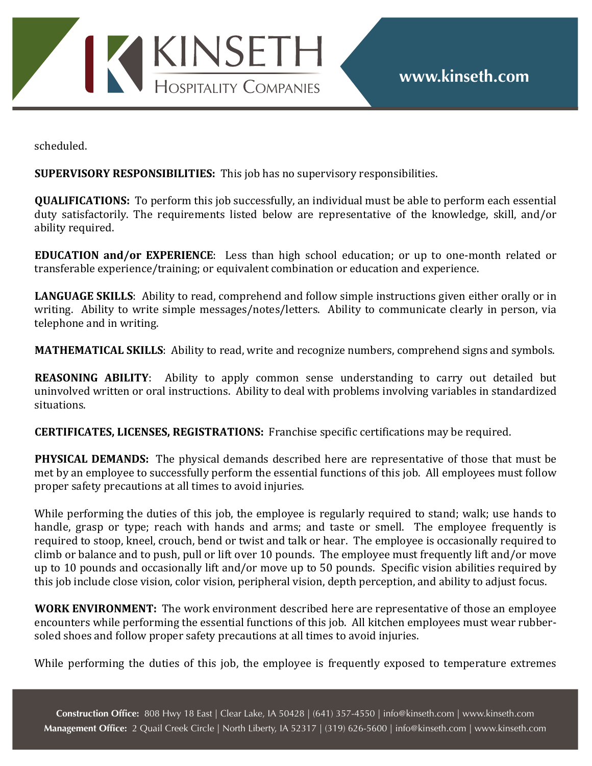

scheduled.

**SUPERVISORY RESPONSIBILITIES:** This job has no supervisory responsibilities.

**QUALIFICATIONS:** To perform this job successfully, an individual must be able to perform each essential duty satisfactorily. The requirements listed below are representative of the knowledge, skill, and/or ability required.

**EDUCATION** and/or EXPERIENCE: Less than high school education; or up to one-month related or transferable experience/training; or equivalent combination or education and experience.

**LANGUAGE SKILLS:** Ability to read, comprehend and follow simple instructions given either orally or in writing. Ability to write simple messages/notes/letters. Ability to communicate clearly in person, via telephone and in writing.

**MATHEMATICAL SKILLS:** Ability to read, write and recognize numbers, comprehend signs and symbols.

**REASONING ABILITY:** Ability to apply common sense understanding to carry out detailed but uninvolved written or oral instructions. Ability to deal with problems involving variables in standardized situations.

**CERTIFICATES, LICENSES, REGISTRATIONS:** Franchise specific certifications may be required.

**PHYSICAL DEMANDS:** The physical demands described here are representative of those that must be met by an employee to successfully perform the essential functions of this job. All employees must follow proper safety precautions at all times to avoid injuries.

While performing the duties of this job, the employee is regularly required to stand; walk; use hands to handle, grasp or type; reach with hands and arms; and taste or smell. The employee frequently is required to stoop, kneel, crouch, bend or twist and talk or hear. The employee is occasionally required to climb or balance and to push, pull or lift over 10 pounds. The employee must frequently lift and/or move up to 10 pounds and occasionally lift and/or move up to 50 pounds. Specific vision abilities required by this job include close vision, color vision, peripheral vision, depth perception, and ability to adjust focus.

**WORK ENVIRONMENT:** The work environment described here are representative of those an employee encounters while performing the essential functions of this job. All kitchen employees must wear rubbersoled shoes and follow proper safety precautions at all times to avoid injuries.

While performing the duties of this job, the employee is frequently exposed to temperature extremes